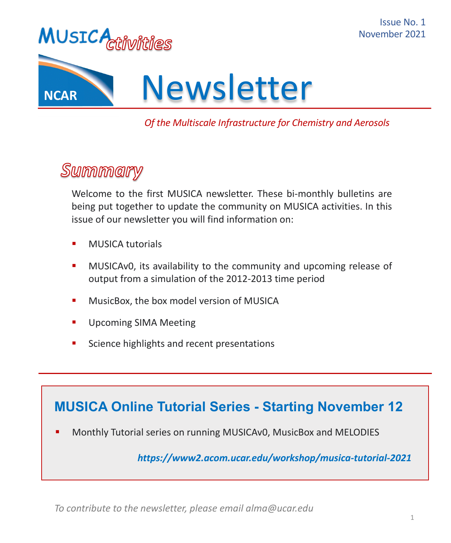





#### *Of the Multiscale Infrastructure for Chemistry and Aerosols*

## Summary

Welcome to the first MUSICA newsletter. These bi-monthly bulletins are being put together to update the community on MUSICA activities. In this issue of our newsletter you will find information on:

- **■** MUSICA tutorials
- **■** MUSICAv0, its availability to the community and upcoming release of output from a simulation of the 2012-2013 time period
- **■** MusicBox, the box model version of MUSICA
- Upcoming SIMA Meeting
- Science highlights and recent presentations

#### **MUSICA Online Tutorial Series - Starting November 12**

§ Monthly Tutorial series on running MUSICAv0, MusicBox and MELODIES

*https://www2.acom.ucar.edu/workshop/musica-tutorial-2021*

*To contribute to the newsletter, please email alma@ucar.edu*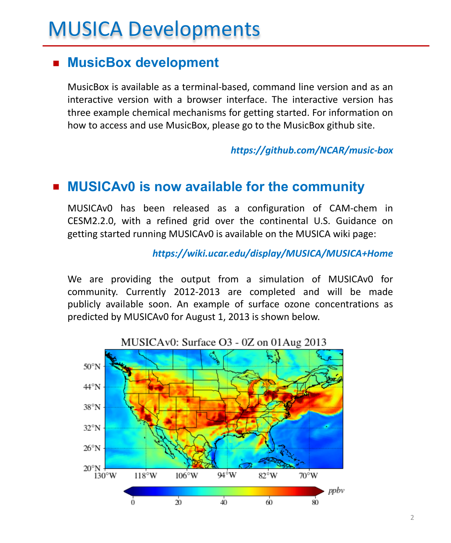# MUSICA Developments

#### § **MusicBox development**

MusicBox is available as a terminal-based, command line version and as an interactive version with a browser interface. The interactive version has three example chemical mechanisms for getting started. For information on how to access and use MusicBox, please go to the MusicBox github site.

*https://github.com/NCAR/music-box*

#### ■ **MUSICAv0** is now available for the community

MUSICAv0 has been released as a configuration of CAM-chem in CESM2.2.0, with a refined grid over the continental U.S. Guidance on getting started running MUSICAv0 is available on the MUSICA wiki page:

*https://wiki.ucar.edu/display/MUSICA/MUSICA+Home*

We are providing the output from a simulation of MUSICAv0 for community. Currently 2012-2013 are completed and will be made publicly available soon. An example of surface ozone concentrations as predicted by MUSICAv0 for August 1, 2013 is shown below.

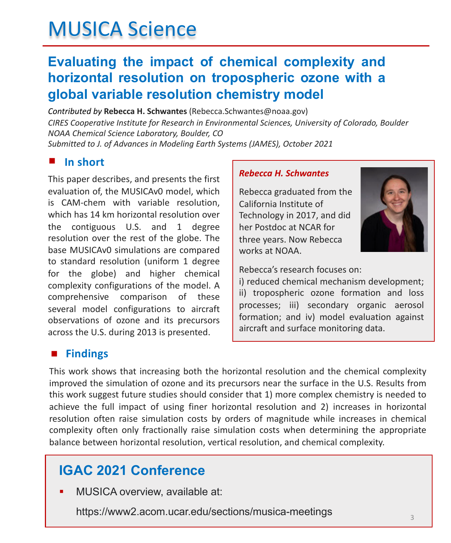# MUSICA Science

### **Evaluating the impact of chemical complexity and horizontal resolution on tropospheric ozone with a global variable resolution chemistry model**

*Contributed by* **Rebecca H. Schwantes** (Rebecca.Schwantes@noaa.gov) *CIRES Cooperative Institute for Research in Environmental Sciences, University of Colorado, Boulder NOAA Chemical Science Laboratory, Boulder, CO Submitted to J. of Advances in Modeling Earth Systems (JAMES), October 2021*

#### **In short** §

This paper describes, and presents the first evaluation of, the MUSICAv0 model, which is CAM-chem with variable resolution, which has 14 km horizontal resolution over the contiguous U.S. and 1 degree resolution over the rest of the globe. The base MUSICAv0 simulations are compared to standard resolution (uniform 1 degree for the globe) and higher chemical complexity configurations of the model. A comprehensive comparison of these several model configurations to aircraft observations of ozone and its precursors across the U.S. during 2013 is presented.

#### *Rebecca H. Schwantes*

Rebecca graduated from the California Institute of Technology in 2017, and did her Postdoc at NCAR for three years. Now Rebecca works at NOAA.

Rebecca's research focuses on:

i) reduced chemical mechanism development; ii) tropospheric ozone formation and loss processes; iii) secondary organic aerosol formation; and iv) model evaluation against aircraft and surface monitoring data.

#### **Findings** §

This work shows that increasing both the horizontal resolution and the chemical complexity improved the simulation of ozone and its precursors near the surface in the U.S. Results from this work suggest future studies should consider that 1) more complex chemistry is needed to achieve the full impact of using finer horizontal resolution and 2) increases in horizontal resolution often raise simulation costs by orders of magnitude while increases in chemical complexity often only fractionally raise simulation costs when determining the appropriate balance between horizontal resolution, vertical resolution, and chemical complexity.

## **IGAC 2021 Conference**

§ MUSICA overview, available at:

https://www2.acom.ucar.edu/sections/musica-meetings